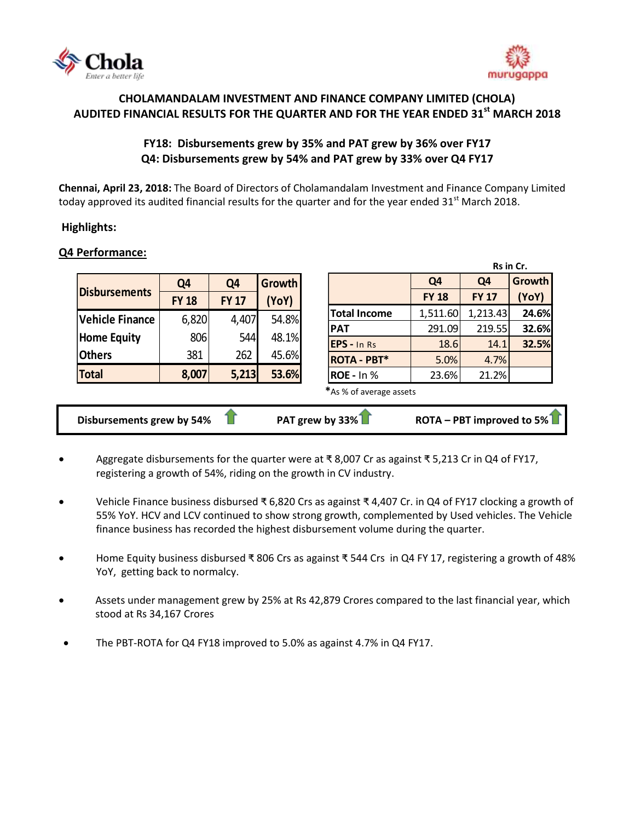



# **CHOLAMANDALAM INVESTMENT AND FINANCE COMPANY LIMITED (CHOLA) AUDITED FINANCIAL RESULTS FOR THE QUARTER AND FOR THE YEAR ENDED 31st MARCH 2018**

# **FY18: Disbursements grew by 35% and PAT grew by 36% over FY17 Q4: Disbursements grew by 54% and PAT grew by 33% over Q4 FY17**

**Chennai, April 23, 2018:** The Board of Directors of [Cholamandalam Investment and Finance Company Limited](http://www.cholamandalam.com/) today approved its audited financial results for the quarter and for the year ended  $31<sup>st</sup>$  March 2018.

# **Highlights:**

# **Q4 Performance:**

|                                                |                |                |               |                     |                                  |              | Rs in Cr.     |
|------------------------------------------------|----------------|----------------|---------------|---------------------|----------------------------------|--------------|---------------|
|                                                | Q <sub>4</sub> | Q <sub>4</sub> | <b>Growth</b> |                     | Q4                               | Q4           | <b>Growth</b> |
| <b>Disbursements</b>                           | <b>FY 18</b>   | <b>FY 17</b>   | (YoY)         |                     | <b>FY 18</b>                     | <b>FY 17</b> | (YoY)         |
| <b>Vehicle Finance</b>                         | 6,820          | 4,407          | 54.8%         | <b>Total Income</b> | 1,511.60                         | 1,213.43     | 24.6%         |
|                                                |                |                |               | <b>PAT</b>          | 291.09                           | 219.55       | 32.6%         |
| <b>Home Equity</b>                             | 806            | 544            | 48.1%         | EPS - In Rs         | 18.6                             | 14.1         | 32.5%         |
| <b>Others</b>                                  | 381            | 262            | 45.6%         | <b>ROTA - PBT*</b>  | 5.0%                             | 4.7%         |               |
| <b>Total</b>                                   | 8,007          | 5,213          | 53.6%         | $ROE - In %$        | 23.6%                            | 21.2%        |               |
| *As % of average assets                        |                |                |               |                     |                                  |              |               |
| PAT grew by 33% L<br>Disbursements grew by 54% |                |                |               |                     | ROTA – PBT improved to 5% $\Box$ |              |               |

- Aggregate disbursements for the quarter were at ₹ 8,007 Cr as against ₹ 5,213 Cr in Q4 of FY17, registering a growth of 54%, riding on the growth in CV industry.
- Vehicle Finance business disbursed ₹ 6,820 Crs as against ₹ 4,407 Cr. in Q4 of FY17 clocking a growth of 55% YoY. HCV and LCV continued to show strong growth, complemented by Used vehicles. The Vehicle finance business has recorded the highest disbursement volume during the quarter.
- Home Equity business disbursed ₹ 806 Crs as against ₹ 544 Crs in Q4 FY 17, registering a growth of 48% YoY, getting back to normalcy.
- Assets under management grew by 25% at Rs 42,879 Crores compared to the last financial year, which stood at Rs 34,167 Crores
- The PBT-ROTA for Q4 FY18 improved to 5.0% as against 4.7% in Q4 FY17.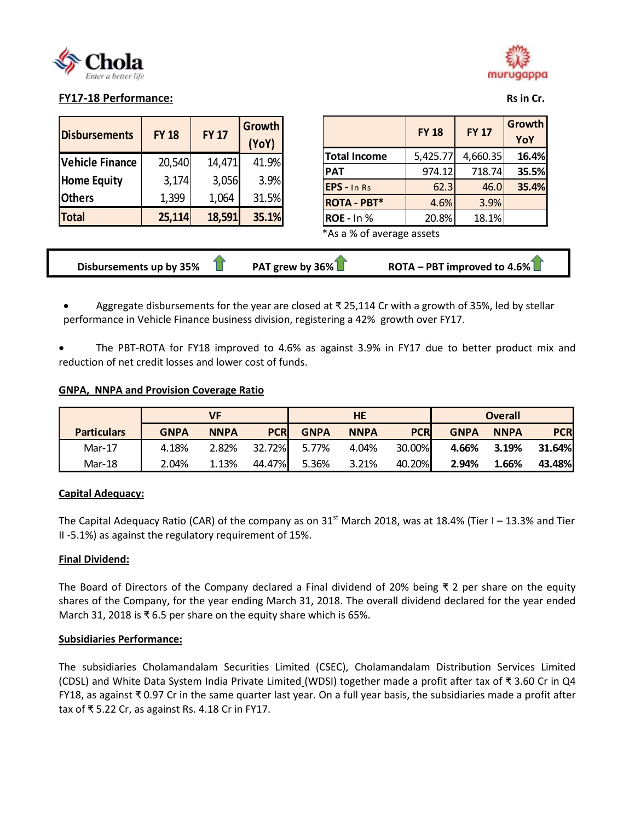



# **FY17-18** Performance: Rs in Cr.

| <b>Disbursements</b>   | <b>FY 18</b> | <b>FY 17</b> | Growth<br>(YoY) |  |
|------------------------|--------------|--------------|-----------------|--|
| <b>Vehicle Finance</b> | 20,540       | 14,471       | 41.9%           |  |
| <b>Home Equity</b>     | 3,174        | 3,056        | 3.9%            |  |
| <b>Others</b>          | 1,399        | 1,064        | 31.5%           |  |
| <b>Total</b>           | 25,114       | 18,591       | 35.1%           |  |

|                     | <b>FY 18</b> | <b>FY 17</b> | <b>Growth</b><br>YoY |  |
|---------------------|--------------|--------------|----------------------|--|
| <b>Total Income</b> | 5,425.77     | 4,660.35     | 16.4%                |  |
| <b>PAT</b>          | 974.12       | 718.74       | 35.5%                |  |
| EPS - In Rs         | 62.3         | 46.0         | 35.4%                |  |
| <b>ROTA - PBT*</b>  | 4.6%         | 3.9%         |                      |  |
| $ROE - In \%$       | 20.8%        | 18.1%        |                      |  |

 <sup>\*</sup>As a % of average assets

| Disbursements up by 35% | PAT grew by $36\%$ | ROTA – PBT improved to 4.6% $\blacksquare$ |
|-------------------------|--------------------|--------------------------------------------|
|                         |                    |                                            |

 Aggregate disbursements for the year are closed at ₹ 25,114 Cr with a growth of 35%, led by stellar performance in Vehicle Finance business division, registering a 42% growth over FY17.

 The PBT-ROTA for FY18 improved to 4.6% as against 3.9% in FY17 due to better product mix and reduction of net credit losses and lower cost of funds.

#### **GNPA, NNPA and Provision Coverage Ratio**

|                    | VF          |             |             | <b>HE</b>   |             |             | <b>Overall</b> |             |             |
|--------------------|-------------|-------------|-------------|-------------|-------------|-------------|----------------|-------------|-------------|
| <b>Particulars</b> | <b>GNPA</b> | <b>NNPA</b> | <b>PCRI</b> | <b>GNPA</b> | <b>NNPA</b> | <b>PCRI</b> | <b>GNPA</b>    | <b>NNPA</b> | <b>PCRI</b> |
| Mar-17             | 4.18%       | 2.82%       | 32.72%      | 5.77%       | 4.04%       | 30.00%      | 4.66%          | 3.19%       | 31.64%      |
| Mar-18             | 2.04%       | 1.13%       | 44.47%      | 5.36%       | 3.21%       | 40.20%      | 2.94%          | 1.66%       | 43.48%      |

#### **Capital Adequacy:**

The Capital Adequacy Ratio (CAR) of the company as on  $31<sup>st</sup>$  March 2018, was at 18.4% (Tier I – 13.3% and Tier II -5.1%) as against the regulatory requirement of 15%.

#### **Final Dividend:**

The Board of Directors of the Company declared a Final dividend of 20% being ₹ 2 per share on the equity shares of the Company, for the year ending March 31, 2018. The overall dividend declared for the year ended March 31, 2018 is ₹ 6.5 per share on the equity share which is 65%.

#### **Subsidiaries Performance:**

The subsidiaries [Cholamandalam Securities Limited](http://www.cholawealthdirect.com/) (CSEC), [Cholamandalam Distribution Services Limited](http://www.cholawealthdirect.com/) (CDSL) and White Data System India Private Limited (WDSI) together made a profit after tax of ₹ 3.60 Cr in Q4 FY18, as against ₹ 0.97 Cr in the same quarter last year. On a full year basis, the subsidiaries made a profit after tax of ₹ 5.22 Cr, as against Rs. 4.18 Cr in FY17.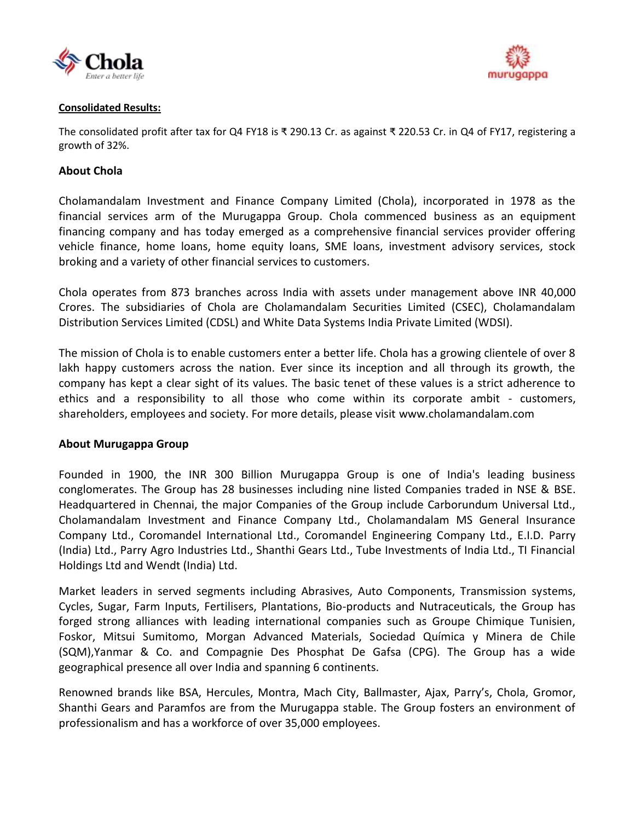



#### **Consolidated Results:**

The consolidated profit after tax for Q4 FY18 is ₹ 290.13 Cr. as against ₹ 220.53 Cr. in Q4 of FY17, registering a growth of 32%.

# **About Chola**

Cholamandalam Investment and Finance Company Limited (Chola), incorporated in 1978 as the financial services arm of the Murugappa Group. Chola commenced business as an equipment financing company and has today emerged as a comprehensive financial services provider offering vehicle finance, home loans, home equity loans, SME loans, investment advisory services, stock broking and a variety of other financial services to customers.

Chola operates from 873 branches across India with assets under management above INR 40,000 Crores. The subsidiaries of Chola are Cholamandalam Securities Limited (CSEC), Cholamandalam Distribution Services Limited (CDSL) and White Data Systems India Private Limited (WDSI).

The mission of Chola is to enable customers enter a better life. Chola has a growing clientele of over 8 lakh happy customers across the nation. Ever since its inception and all through its growth, the company has kept a clear sight of its values. The basic tenet of these values is a strict adherence to ethics and a responsibility to all those who come within its corporate ambit - customers, shareholders, employees and society. For more details, please visit www.cholamandalam.com

# **About Murugappa Group**

Founded in 1900, the INR 300 Billion Murugappa Group is one of India's leading business conglomerates. The Group has 28 businesses including nine listed Companies traded in NSE & BSE. Headquartered in Chennai, the major Companies of the Group include Carborundum Universal Ltd., Cholamandalam Investment and Finance Company Ltd., Cholamandalam MS General Insurance Company Ltd., Coromandel International Ltd., Coromandel Engineering Company Ltd., E.I.D. Parry (India) Ltd., Parry Agro Industries Ltd., Shanthi Gears Ltd., Tube Investments of India Ltd., TI Financial Holdings Ltd and Wendt (India) Ltd.

Market leaders in served segments including Abrasives, Auto Components, Transmission systems, Cycles, Sugar, Farm Inputs, Fertilisers, Plantations, Bio-products and Nutraceuticals, the Group has forged strong alliances with leading international companies such as Groupe Chimique Tunisien, Foskor, Mitsui Sumitomo, Morgan Advanced Materials, Sociedad Química y Minera de Chile (SQM),Yanmar & Co. and Compagnie Des Phosphat De Gafsa (CPG). The Group has a wide geographical presence all over India and spanning 6 continents.

Renowned brands like BSA, Hercules, Montra, Mach City, Ballmaster, Ajax, Parry's, Chola, Gromor, Shanthi Gears and Paramfos are from the Murugappa stable. The Group fosters an environment of professionalism and has a workforce of over 35,000 employees.